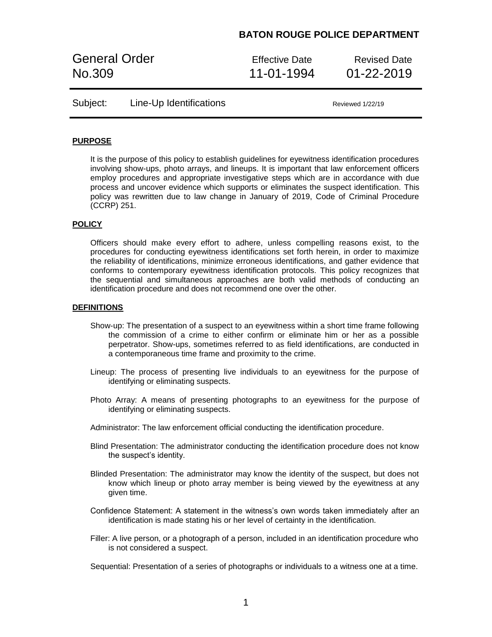General Order **Effective Date** Revised Date No.309 11-01-1994 01-22-2019

| Subject: | Line-Up Identifications |  |
|----------|-------------------------|--|
|----------|-------------------------|--|

Reviewed 1/22/19

### **PURPOSE**

It is the purpose of this policy to establish guidelines for eyewitness identification procedures involving show-ups, photo arrays, and lineups. It is important that law enforcement officers employ procedures and appropriate investigative steps which are in accordance with due process and uncover evidence which supports or eliminates the suspect identification. This policy was rewritten due to law change in January of 2019, Code of Criminal Procedure (CCRP) 251.

### **POLICY**

Officers should make every effort to adhere, unless compelling reasons exist, to the procedures for conducting eyewitness identifications set forth herein, in order to maximize the reliability of identifications, minimize erroneous identifications, and gather evidence that conforms to contemporary eyewitness identification protocols. This policy recognizes that the sequential and simultaneous approaches are both valid methods of conducting an identification procedure and does not recommend one over the other.

#### **DEFINITIONS**

- Show-up: The presentation of a suspect to an eyewitness within a short time frame following the commission of a crime to either confirm or eliminate him or her as a possible perpetrator. Show-ups, sometimes referred to as field identifications, are conducted in a contemporaneous time frame and proximity to the crime.
- Lineup: The process of presenting live individuals to an eyewitness for the purpose of identifying or eliminating suspects.
- Photo Array: A means of presenting photographs to an eyewitness for the purpose of identifying or eliminating suspects.
- Administrator: The law enforcement official conducting the identification procedure.
- Blind Presentation: The administrator conducting the identification procedure does not know the suspect's identity.
- Blinded Presentation: The administrator may know the identity of the suspect, but does not know which lineup or photo array member is being viewed by the eyewitness at any given time.
- Confidence Statement: A statement in the witness's own words taken immediately after an identification is made stating his or her level of certainty in the identification.
- Filler: A live person, or a photograph of a person, included in an identification procedure who is not considered a suspect.

Sequential: Presentation of a series of photographs or individuals to a witness one at a time.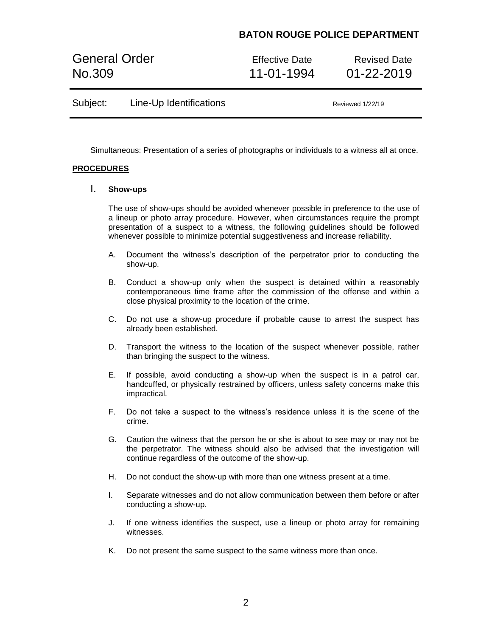General Order **Effective Date** Revised Date No.309 11-01-1994 01-22-2019

| Subject: | Line-Up Identifications |
|----------|-------------------------|
|----------|-------------------------|

Reviewed 1/22/19

Simultaneous: Presentation of a series of photographs or individuals to a witness all at once.

### **PROCEDURES**

### I. **Show-ups**

The use of show-ups should be avoided whenever possible in preference to the use of a lineup or photo array procedure. However, when circumstances require the prompt presentation of a suspect to a witness, the following guidelines should be followed whenever possible to minimize potential suggestiveness and increase reliability.

- A. Document the witness's description of the perpetrator prior to conducting the show-up.
- B. Conduct a show-up only when the suspect is detained within a reasonably contemporaneous time frame after the commission of the offense and within a close physical proximity to the location of the crime.
- C. Do not use a show-up procedure if probable cause to arrest the suspect has already been established.
- D. Transport the witness to the location of the suspect whenever possible, rather than bringing the suspect to the witness.
- E. If possible, avoid conducting a show-up when the suspect is in a patrol car, handcuffed, or physically restrained by officers, unless safety concerns make this impractical.
- F. Do not take a suspect to the witness's residence unless it is the scene of the crime.
- G. Caution the witness that the person he or she is about to see may or may not be the perpetrator. The witness should also be advised that the investigation will continue regardless of the outcome of the show-up.
- H. Do not conduct the show-up with more than one witness present at a time.
- I. Separate witnesses and do not allow communication between them before or after conducting a show-up.
- J. If one witness identifies the suspect, use a lineup or photo array for remaining witnesses.
- K. Do not present the same suspect to the same witness more than once.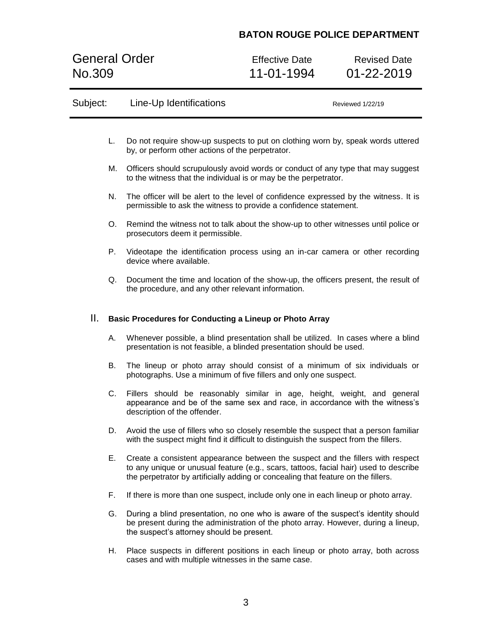General Order Effective Date Revised Date<br>
No.309 11-01-1994 01-22-2019

01-22-2019

| Subject: |    | Line-Up Identifications                                                                                                                                                                                                                                       | Reviewed 1/22/19 |
|----------|----|---------------------------------------------------------------------------------------------------------------------------------------------------------------------------------------------------------------------------------------------------------------|------------------|
|          | L. | Do not require show-up suspects to put on clothing worn by, speak words uttered<br>by, or perform other actions of the perpetrator.                                                                                                                           |                  |
|          | М. | Officers should scrupulously avoid words or conduct of any type that may suggest<br>to the witness that the individual is or may be the perpetrator.                                                                                                          |                  |
|          | N. | The officer will be alert to the level of confidence expressed by the witness. It is<br>permissible to ask the witness to provide a confidence statement.                                                                                                     |                  |
|          | O. | Remind the witness not to talk about the show-up to other witnesses until police or<br>prosecutors deem it permissible.                                                                                                                                       |                  |
|          | Р. | Videotape the identification process using an in-car camera or other recording<br>device where available.                                                                                                                                                     |                  |
|          | Q. | Document the time and location of the show-up, the officers present, the result of<br>the procedure, and any other relevant information.                                                                                                                      |                  |
| Ш.       |    | <b>Basic Procedures for Conducting a Lineup or Photo Array</b>                                                                                                                                                                                                |                  |
|          | А. | Whenever possible, a blind presentation shall be utilized. In cases where a blind<br>presentation is not feasible, a blinded presentation should be used.                                                                                                     |                  |
|          | В. | The lineup or photo array should consist of a minimum of six individuals or<br>photographs. Use a minimum of five fillers and only one suspect.                                                                                                               |                  |
|          | C. | Fillers should be reasonably similar in age, height, weight, and general<br>appearance and be of the same sex and race, in accordance with the witness's<br>description of the offender.                                                                      |                  |
|          | D. | Avoid the use of fillers who so closely resemble the suspect that a person familiar<br>with the suspect might find it difficult to distinguish the suspect from the fillers.                                                                                  |                  |
|          | Е. | Create a consistent appearance between the suspect and the fillers with respect<br>to any unique or unusual feature (e.g., scars, tattoos, facial hair) used to describe<br>the perpetrator by artificially adding or concealing that feature on the fillers. |                  |
|          | F. | If there is more than one suspect, include only one in each lineup or photo array.                                                                                                                                                                            |                  |
|          | G. | During a blind presentation, no one who is aware of the suspect's identity should<br>be present during the administration of the photo array. However, during a lineup,<br>the suspect's attorney should be present.                                          |                  |
|          | Η. | Place suspects in different positions in each lineup or photo array, both across<br>cases and with multiple witnesses in the same case.                                                                                                                       |                  |
|          |    |                                                                                                                                                                                                                                                               |                  |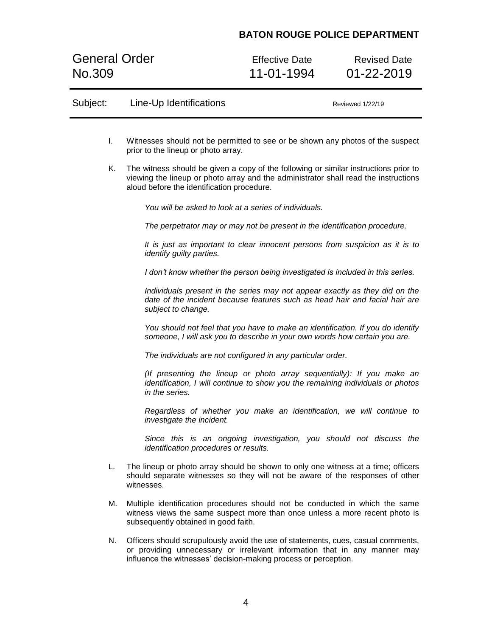General Order Effective Date Revised Date<br>
No.309 11-01-1994 01-22-2019

11-01-1994

| Subject: | Line-Up Identifications<br>Reviewed 1/22/19                                                                                                                                                                                      |                                                                                                                                                                             |  |
|----------|----------------------------------------------------------------------------------------------------------------------------------------------------------------------------------------------------------------------------------|-----------------------------------------------------------------------------------------------------------------------------------------------------------------------------|--|
|          |                                                                                                                                                                                                                                  |                                                                                                                                                                             |  |
| L.       | Witnesses should not be permitted to see or be shown any photos of the suspect<br>prior to the lineup or photo array.                                                                                                            |                                                                                                                                                                             |  |
| Κ.       | aloud before the identification procedure.                                                                                                                                                                                       | The witness should be given a copy of the following or similar instructions prior to<br>viewing the lineup or photo array and the administrator shall read the instructions |  |
|          | You will be asked to look at a series of individuals.                                                                                                                                                                            |                                                                                                                                                                             |  |
|          | The perpetrator may or may not be present in the identification procedure.                                                                                                                                                       |                                                                                                                                                                             |  |
|          | identify guilty parties.                                                                                                                                                                                                         | It is just as important to clear innocent persons from suspicion as it is to                                                                                                |  |
|          |                                                                                                                                                                                                                                  | I don't know whether the person being investigated is included in this series.                                                                                              |  |
|          | subject to change.                                                                                                                                                                                                               | Individuals present in the series may not appear exactly as they did on the<br>date of the incident because features such as head hair and facial hair are                  |  |
|          |                                                                                                                                                                                                                                  | You should not feel that you have to make an identification. If you do identify<br>someone, I will ask you to describe in your own words how certain you are.               |  |
|          | The individuals are not configured in any particular order.                                                                                                                                                                      |                                                                                                                                                                             |  |
|          | in the series.                                                                                                                                                                                                                   | (If presenting the lineup or photo array sequentially): If you make an<br>identification, I will continue to show you the remaining individuals or photos                   |  |
|          | investigate the incident.                                                                                                                                                                                                        | Regardless of whether you make an identification, we will continue to                                                                                                       |  |
|          | identification procedures or results.                                                                                                                                                                                            | Since this is an ongoing investigation, you should not discuss the                                                                                                          |  |
| L.       | The lineup or photo array should be shown to only one witness at a time; officers<br>should separate witnesses so they will not be aware of the responses of other<br>witnesses.                                                 |                                                                                                                                                                             |  |
| М.       | Multiple identification procedures should not be conducted in which the same<br>witness views the same suspect more than once unless a more recent photo is<br>subsequently obtained in good faith.                              |                                                                                                                                                                             |  |
| N.       | Officers should scrupulously avoid the use of statements, cues, casual comments,<br>or providing unnecessary or irrelevant information that in any manner may<br>influence the witnesses' decision-making process or perception. |                                                                                                                                                                             |  |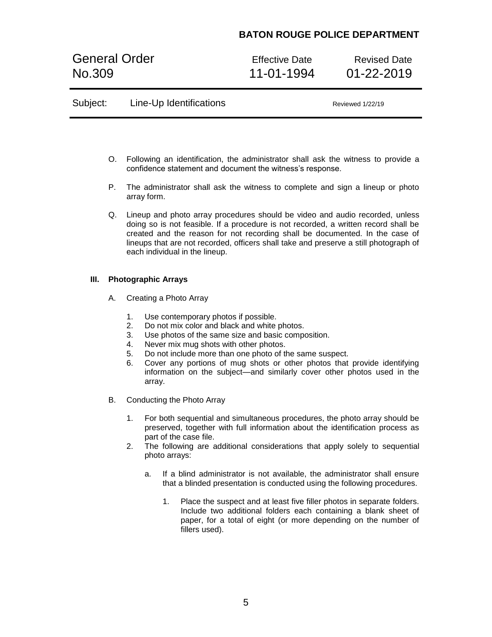General Order **Effective Date** Revised Date No.309 11-01-1994 01-22-2019

| Subject: | Line-Up Identifications | Reviewed 1/22/19 |  |
|----------|-------------------------|------------------|--|
|          |                         |                  |  |

- O. Following an identification, the administrator shall ask the witness to provide a confidence statement and document the witness's response.
- P. The administrator shall ask the witness to complete and sign a lineup or photo array form.
- Q. Lineup and photo array procedures should be video and audio recorded, unless doing so is not feasible. If a procedure is not recorded, a written record shall be created and the reason for not recording shall be documented. In the case of lineups that are not recorded, officers shall take and preserve a still photograph of each individual in the lineup.

### **III. Photographic Arrays**

- A. Creating a Photo Array
	- 1. Use contemporary photos if possible.
	- 2. Do not mix color and black and white photos.
	- 3. Use photos of the same size and basic composition.
	- 4. Never mix mug shots with other photos.
	- 5. Do not include more than one photo of the same suspect.
	- 6. Cover any portions of mug shots or other photos that provide identifying information on the subject—and similarly cover other photos used in the array.
- B. Conducting the Photo Array
	- 1. For both sequential and simultaneous procedures, the photo array should be preserved, together with full information about the identification process as part of the case file.
	- 2. The following are additional considerations that apply solely to sequential photo arrays:
		- a. If a blind administrator is not available, the administrator shall ensure that a blinded presentation is conducted using the following procedures.
			- 1. Place the suspect and at least five filler photos in separate folders. Include two additional folders each containing a blank sheet of paper, for a total of eight (or more depending on the number of fillers used).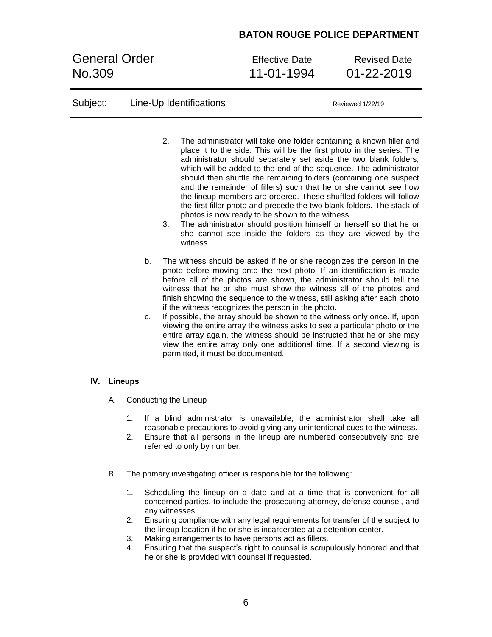General Order **Effective Date** Revised Date No.309 11-01-1994 01-22-2019

| Subject: |                |          |                                                                                                                                                                                                                                                                       | Line-Up Identifications                                                                 | Reviewed 1/22/19                                                                                                                                                                                                                                                                                                                                                                                                                                                                                                                                                                                                                                                                                                     |
|----------|----------------|----------|-----------------------------------------------------------------------------------------------------------------------------------------------------------------------------------------------------------------------------------------------------------------------|-----------------------------------------------------------------------------------------|----------------------------------------------------------------------------------------------------------------------------------------------------------------------------------------------------------------------------------------------------------------------------------------------------------------------------------------------------------------------------------------------------------------------------------------------------------------------------------------------------------------------------------------------------------------------------------------------------------------------------------------------------------------------------------------------------------------------|
|          |                |          | 2.<br>3.                                                                                                                                                                                                                                                              | photos is now ready to be shown to the witness.<br>witness.                             | The administrator will take one folder containing a known filler and<br>place it to the side. This will be the first photo in the series. The<br>administrator should separately set aside the two blank folders,<br>which will be added to the end of the sequence. The administrator<br>should then shuffle the remaining folders (containing one suspect<br>and the remainder of fillers) such that he or she cannot see how<br>the lineup members are ordered. These shuffled folders will follow<br>the first filler photo and precede the two blank folders. The stack of<br>The administrator should position himself or herself so that he or<br>she cannot see inside the folders as they are viewed by the |
|          |                |          | b.<br>c.                                                                                                                                                                                                                                                              | if the witness recognizes the person in the photo.<br>permitted, it must be documented. | The witness should be asked if he or she recognizes the person in the<br>photo before moving onto the next photo. If an identification is made<br>before all of the photos are shown, the administrator should tell the<br>witness that he or she must show the witness all of the photos and<br>finish showing the sequence to the witness, still asking after each photo<br>If possible, the array should be shown to the witness only once. If, upon<br>viewing the entire array the witness asks to see a particular photo or the<br>entire array again, the witness should be instructed that he or she may<br>view the entire array only one additional time. If a second viewing is                           |
| IV.      | <b>Lineups</b> |          |                                                                                                                                                                                                                                                                       |                                                                                         |                                                                                                                                                                                                                                                                                                                                                                                                                                                                                                                                                                                                                                                                                                                      |
|          | А.             |          | Conducting the Lineup                                                                                                                                                                                                                                                 |                                                                                         |                                                                                                                                                                                                                                                                                                                                                                                                                                                                                                                                                                                                                                                                                                                      |
|          |                | 1.<br>2. | If a blind administrator is unavailable, the administrator shall take all<br>reasonable precautions to avoid giving any unintentional cues to the witness.<br>Ensure that all persons in the lineup are numbered consecutively and are<br>referred to only by number. |                                                                                         |                                                                                                                                                                                                                                                                                                                                                                                                                                                                                                                                                                                                                                                                                                                      |
|          |                |          |                                                                                                                                                                                                                                                                       |                                                                                         |                                                                                                                                                                                                                                                                                                                                                                                                                                                                                                                                                                                                                                                                                                                      |

- B. The primary investigating officer is responsible for the following:
	- 1. Scheduling the lineup on a date and at a time that is convenient for all concerned parties, to include the prosecuting attorney, defense counsel, and any witnesses.
	- 2. Ensuring compliance with any legal requirements for transfer of the subject to the lineup location if he or she is incarcerated at a detention center.
	- 3. Making arrangements to have persons act as fillers.
	- 4. Ensuring that the suspect's right to counsel is scrupulously honored and that he or she is provided with counsel if requested.